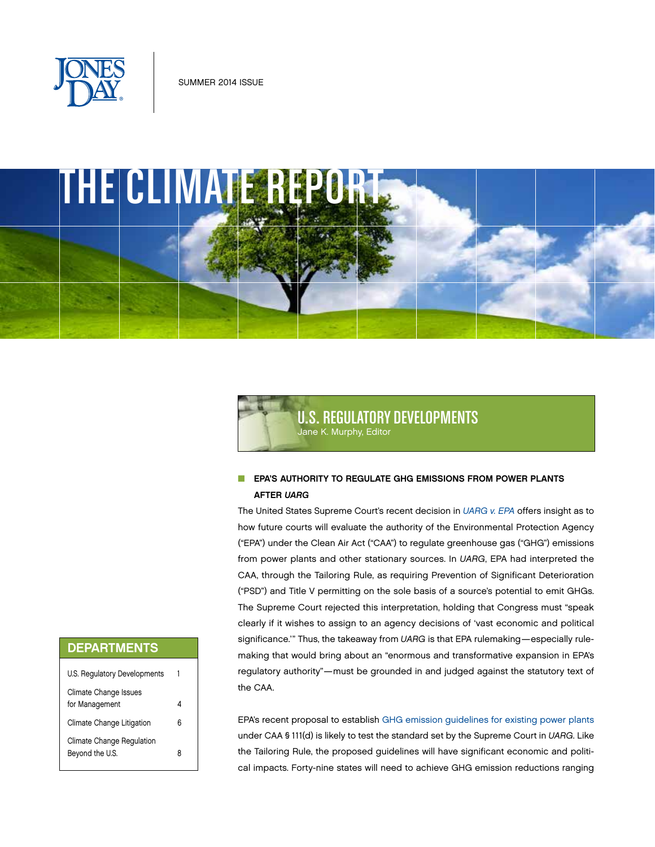



# U.S. REGULATORY DEVELOPMENTS Jane K. Murphy, Editor

## **N EPA'S AUTHORITY TO REGULATE GHG EMISSIONS FROM POWER PLANTS** AFTER *UARG*

The United States Supreme Court's recent decision in *[UARG v. EPA](http://www.jonesday.com/utility-regulatory-group-v-epa-us-supreme-court-stops-epas-rewrite-of-the-clean-air-act-07-02-2014/)* offers insight as to how future courts will evaluate the authority of the Environmental Protection Agency ("EPA") under the Clean Air Act ("CAA") to regulate greenhouse gas ("GHG") emissions from power plants and other stationary sources. In *UARG*, EPA had interpreted the CAA, through the Tailoring Rule, as requiring Prevention of Significant Deterioration ("PSD") and Title V permitting on the sole basis of a source's potential to emit GHGs. The Supreme Court rejected this interpretation, holding that Congress must "speak clearly if it wishes to assign to an agency decisions of 'vast economic and political significance." Thus, the takeaway from UARG is that EPA rulemaking-especially rulemaking that would bring about an "enormous and transformative expansion in EPA's regulatory authority"—must be grounded in and judged against the statutory text of the CAA.

EPA's recent proposal to establish [GHG emission guidelines for existing power plants](http://www.jonesday.com/epa-proposes-clean-power-plan-for-greenhouse-gas-emissions-from-existing-electric-generating-units-06-10-2014/) under CAA § 111(d) is likely to test the standard set by the Supreme Court in *UARG*. Like the Tailoring Rule, the proposed guidelines will have significant economic and political impacts. Forty-nine states will need to achieve GHG emission reductions ranging

# DEPARTMENTS

| U.S. Regulatory Developments                 |   |
|----------------------------------------------|---|
| Climate Change Issues<br>for Management      |   |
| Climate Change Litigation                    | 6 |
| Climate Change Regulation<br>Beyond the U.S. | 8 |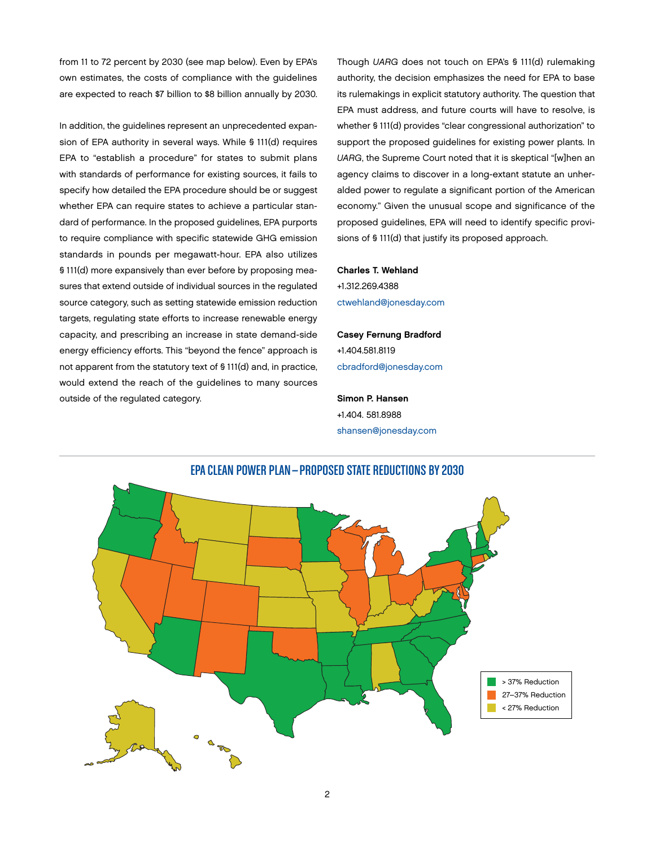from 11 to 72 percent by 2030 (see map below). Even by EPA's own estimates, the costs of compliance with the guidelines are expected to reach \$7 billion to \$8 billion annually by 2030.

In addition, the guidelines represent an unprecedented expansion of EPA authority in several ways. While § 111(d) requires EPA to "establish a procedure" for states to submit plans with standards of performance for existing sources, it fails to specify how detailed the EPA procedure should be or suggest whether EPA can require states to achieve a particular standard of performance. In the proposed guidelines, EPA purports to require compliance with specific statewide GHG emission standards in pounds per megawatt-hour. EPA also utilizes § 111(d) more expansively than ever before by proposing measures that extend outside of individual sources in the regulated source category, such as setting statewide emission reduction targets, regulating state efforts to increase renewable energy capacity, and prescribing an increase in state demand-side energy efficiency efforts. This "beyond the fence" approach is not apparent from the statutory text of § 111(d) and, in practice, would extend the reach of the guidelines to many sources outside of the regulated category.

Though *UARG* does not touch on EPA's § 111(d) rulemaking authority, the decision emphasizes the need for EPA to base its rulemakings in explicit statutory authority. The question that EPA must address, and future courts will have to resolve, is whether § 111(d) provides "clear congressional authorization" to support the proposed guidelines for existing power plants. In *UARG*, the Supreme Court noted that it is skeptical "[w]hen an agency claims to discover in a long-extant statute an unheralded power to regulate a significant portion of the American economy." Given the unusual scope and significance of the proposed guidelines, EPA will need to identify specific provisions of § 111(d) that justify its proposed approach.

Charles T. Wehland +1.312.269.4388 [ctwehland@jonesday.com](mailto:ctwehland@jonesday.com)

Casey Fernung Bradford +1.404.581.8119 [cbradford@jonesday.com](mailto:cbradford@jonesday.com)

Simon P. Hansen +1.404. 581.8988 [shansen@jonesday.com](mailto:shansen@jonesday.com)

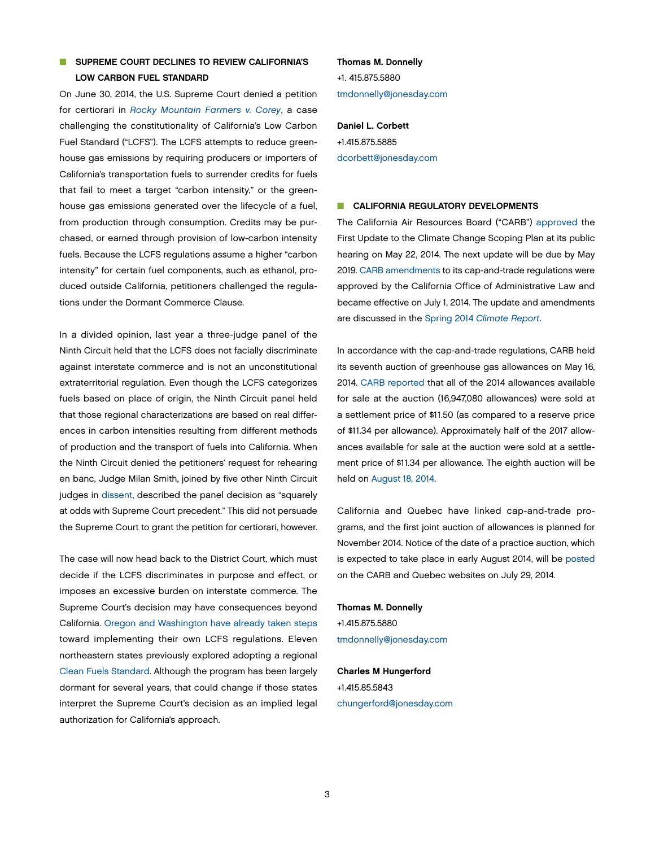## **N SUPREME COURT DECLINES TO REVIEW CALIFORNIA'S** LOW CARBON FUEL STANDARD

On June 30, 2014, the U.S. Supreme Court denied a petition for certiorari in *[Rocky Mountain Farmers v. Corey](http://sblog.s3.amazonaws.com/wp-content/uploads/2014/04/2014-03-20a-Rocky-Mountain-Farmers-v-Corey_Petition-for-Certiorari.pdf)*, a case challenging the constitutionality of California's Low Carbon Fuel Standard ("LCFS"). The LCFS attempts to reduce greenhouse gas emissions by requiring producers or importers of California's transportation fuels to surrender credits for fuels that fail to meet a target "carbon intensity," or the greenhouse gas emissions generated over the lifecycle of a fuel, from production through consumption. Credits may be purchased, or earned through provision of low-carbon intensity fuels. Because the LCFS regulations assume a higher "carbon intensity" for certain fuel components, such as ethanol, produced outside California, petitioners challenged the regulations under the Dormant Commerce Clause.

In a divided opinion, last year a three-judge panel of the Ninth Circuit held that the LCFS does not facially discriminate against interstate commerce and is not an unconstitutional extraterritorial regulation. Even though the LCFS categorizes fuels based on place of origin, the Ninth Circuit panel held that those regional characterizations are based on real differences in carbon intensities resulting from different methods of production and the transport of fuels into California. When the Ninth Circuit denied the petitioners' request for rehearing en banc, Judge Milan Smith, joined by five other Ninth Circuit judges in [dissent,](http://cdn.ca9.uscourts.gov/datastore/opinions/2014/01/22/12-15131.pdf) described the panel decision as "squarely at odds with Supreme Court precedent." This did not persuade the Supreme Court to grant the petition for certiorari, however.

The case will now head back to the District Court, which must decide if the LCFS discriminates in purpose and effect, or imposes an excessive burden on interstate commerce. The Supreme Court's decision may have consequences beyond California. [Oregon and Washington have already taken steps](http://gov.ca.gov/news.php?id=18284) toward implementing their own LCFS regulations. Eleven northeastern states previously explored adopting a regional [Clean Fuels Standard.](http://www.nescaum.org/topics/clean-fuels-standard) Although the program has been largely dormant for several years, that could change if those states interpret the Supreme Court's decision as an implied legal authorization for California's approach.

# Thomas M. Donnelly +1. 415.875.5880 [tmdonnelly@jonesday.com](mailto:tmdonnelly@jonesday.com)

Daniel L. Corbett +1.415.875.5885 [dcorbett@jonesday.com](mailto:dcorbett@jonesday.com)

## CALIFORNIA REGULATORY DEVELOPMENTS

The California Air Resources Board ("CARB") [approved](http://www.arb.ca.gov/cc/scopingplan/resolution_14-16.pdf) the First Update to the Climate Change Scoping Plan at its public hearing on May 22, 2014. The next update will be due by May 2019. [CARB amendments](http://www.arb.ca.gov/cc/capandtrade/ct_oal_april2014.pdf) to its cap-and-trade regulations were approved by the California Office of Administrative Law and became effective on July 1, 2014. The update and amendments are discussed in the Spring 2014 *[Climate Report](http://www.jonesday.com/the-climate-report-05-19-2014/)*.

In accordance with the cap-and-trade regulations, CARB held its seventh auction of greenhouse gas allowances on May 16, 2014. [CARB reported](http://www.arb.ca.gov/cc/capandtrade/auction/may-2014/results.pdf) that all of the 2014 allowances available for sale at the auction (16,947,080 allowances) were sold at a settlement price of \$11.50 (as compared to a reserve price of \$11.34 per allowance). Approximately half of the 2017 allowances available for sale at the auction were sold at a settlement price of \$11.34 per allowance. The eighth auction will be held on [August 18, 2014](http://www.arb.ca.gov/cc/capandtrade/auction/august-2014/auction_notice_updated.pdf).

California and Quebec have linked cap-and-trade programs, and the first joint auction of allowances is planned for November 2014. Notice of the date of a practice auction, which is expected to take place in early August 2014, will be [posted](http://www.arb.ca.gov/cc/capandtrade/auction/practice_joint_auction/press_release.pdf) on the CARB and Quebec websites on July 29, 2014.

Thomas M. Donnelly +1.415.875.5880 [tmdonnelly@jonesday.com](mailto:tmdonnelly@jonesday.com)

Charles M Hungerford +1.415.85.5843 [chungerford@jonesday.com](mailto:chungerford@jonesday.com)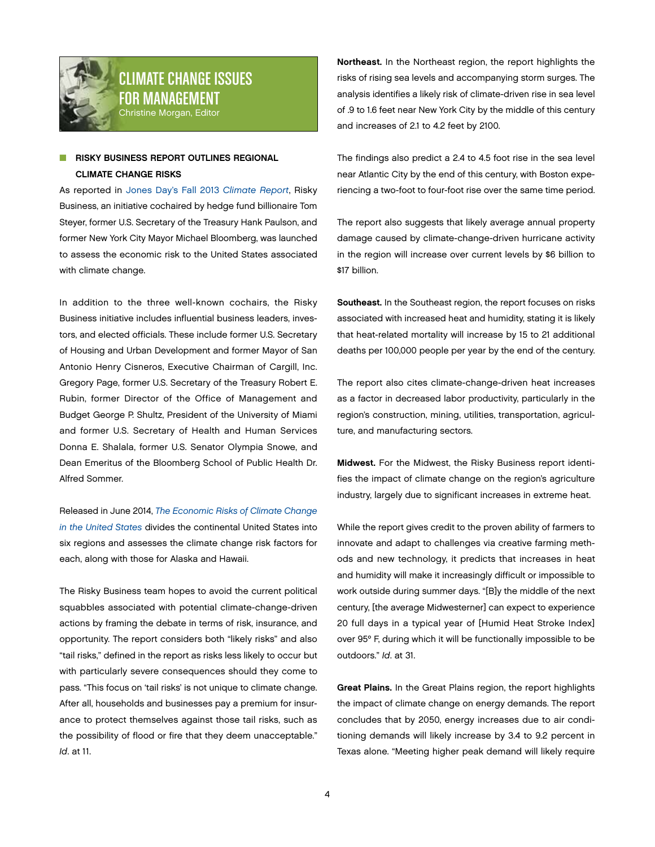<span id="page-3-0"></span>

# CLIMATE CHANGE ISSUES FOR MANAGEMENT Christine Morgan, Editor

# **RISKY BUSINESS REPORT OUTLINES REGIONAL** CLIMATE CHANGE RISKS

As reported in [Jones Day's Fall 2013](http://thewritestuff.jonesday.com/rv/ff00137249341a954a2f17ec6a43a7e60f75adc8/p=13) *Climate Report*, Risky Business, an initiative cochaired by hedge fund billionaire Tom Steyer, former U.S. Secretary of the Treasury Hank Paulson, and former New York City Mayor Michael Bloomberg, was launched to assess the economic risk to the United States associated with climate change.

In addition to the three well-known cochairs, the Risky Business initiative includes influential business leaders, investors, and elected officials. These include former U.S. Secretary of Housing and Urban Development and former Mayor of San Antonio Henry Cisneros, Executive Chairman of Cargill, Inc. Gregory Page, former U.S. Secretary of the Treasury Robert E. Rubin, former Director of the Office of Management and Budget George P. Shultz, President of the University of Miami and former U.S. Secretary of Health and Human Services Donna E. Shalala, former U.S. Senator Olympia Snowe, and Dean Emeritus of the Bloomberg School of Public Health Dr. Alfred Sommer.

Released in June 2014, *[The Economic Risks of Climate Change](http://riskybusiness.org/uploads/files/RiskyBusiness_Report_WEB_7_22_14.pdf)  [in the United States](http://riskybusiness.org/uploads/files/RiskyBusiness_Report_WEB_7_22_14.pdf)* divides the continental United States into six regions and assesses the climate change risk factors for each, along with those for Alaska and Hawaii.

The Risky Business team hopes to avoid the current political squabbles associated with potential climate-change-driven actions by framing the debate in terms of risk, insurance, and opportunity. The report considers both "likely risks" and also "tail risks," defined in the report as risks less likely to occur but with particularly severe consequences should they come to pass. "This focus on 'tail risks' is not unique to climate change. After all, households and businesses pay a premium for insurance to protect themselves against those tail risks, such as the possibility of flood or fire that they deem unacceptable." *Id*. at 11.

Northeast. In the Northeast region, the report highlights the risks of rising sea levels and accompanying storm surges. The analysis identifies a likely risk of climate-driven rise in sea level of .9 to 1.6 feet near New York City by the middle of this century and increases of 2.1 to 4.2 feet by 2100.

The findings also predict a 2.4 to 4.5 foot rise in the sea level near Atlantic City by the end of this century, with Boston experiencing a two-foot to four-foot rise over the same time period.

The report also suggests that likely average annual property damage caused by climate-change-driven hurricane activity in the region will increase over current levels by \$6 billion to \$17 billion.

Southeast. In the Southeast region, the report focuses on risks associated with increased heat and humidity, stating it is likely that heat-related mortality will increase by 15 to 21 additional deaths per 100,000 people per year by the end of the century.

The report also cites climate-change-driven heat increases as a factor in decreased labor productivity, particularly in the region's construction, mining, utilities, transportation, agriculture, and manufacturing sectors.

Midwest. For the Midwest, the Risky Business report identifies the impact of climate change on the region's agriculture industry, largely due to significant increases in extreme heat.

While the report gives credit to the proven ability of farmers to innovate and adapt to challenges via creative farming methods and new technology, it predicts that increases in heat and humidity will make it increasingly difficult or impossible to work outside during summer days. "[B]y the middle of the next century, [the average Midwesterner] can expect to experience 20 full days in a typical year of [Humid Heat Stroke Index] over 95º F, during which it will be functionally impossible to be outdoors." *Id*. at 31.

Great Plains. In the Great Plains region, the report highlights the impact of climate change on energy demands. The report concludes that by 2050, energy increases due to air conditioning demands will likely increase by 3.4 to 9.2 percent in Texas alone. "Meeting higher peak demand will likely require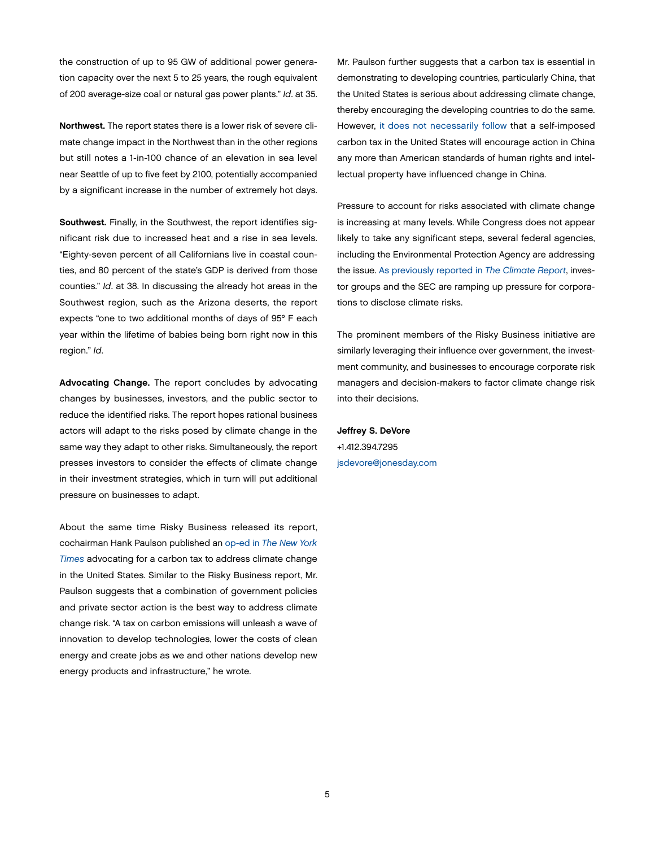the construction of up to 95 GW of additional power generation capacity over the next 5 to 25 years, the rough equivalent of 200 average-size coal or natural gas power plants." *Id*. at 35.

Northwest. The report states there is a lower risk of severe climate change impact in the Northwest than in the other regions but still notes a 1-in-100 chance of an elevation in sea level near Seattle of up to five feet by 2100, potentially accompanied by a significant increase in the number of extremely hot days.

Southwest. Finally, in the Southwest, the report identifies significant risk due to increased heat and a rise in sea levels. "Eighty-seven percent of all Californians live in coastal counties, and 80 percent of the state's GDP is derived from those counties." *Id*. at 38. In discussing the already hot areas in the Southwest region, such as the Arizona deserts, the report expects "one to two additional months of days of 95º F each year within the lifetime of babies being born right now in this region." *Id*.

Advocating Change. The report concludes by advocating changes by businesses, investors, and the public sector to reduce the identified risks. The report hopes rational business actors will adapt to the risks posed by climate change in the same way they adapt to other risks. Simultaneously, the report presses investors to consider the effects of climate change in their investment strategies, which in turn will put additional pressure on businesses to adapt.

About the same time Risky Business released its report, cochairman Hank Paulson published an op-ed in *[The New York](http://www.nytimes.com/2014/06/22/opinion/sunday/lessons-for-climate-change-in-the-2008-recession.html?_r=1)  [Times](http://www.nytimes.com/2014/06/22/opinion/sunday/lessons-for-climate-change-in-the-2008-recession.html?_r=1)* advocating for a carbon tax to address climate change in the United States. Similar to the Risky Business report, Mr. Paulson suggests that a combination of government policies and private sector action is the best way to address climate change risk. "A tax on carbon emissions will unleash a wave of innovation to develop technologies, lower the costs of clean energy and create jobs as we and other nations develop new energy products and infrastructure," he wrote.

Mr. Paulson further suggests that a carbon tax is essential in demonstrating to developing countries, particularly China, that the United States is serious about addressing climate change, thereby encouraging the developing countries to do the same. However, [it does not necessarily follow](http://www.forbes.com/sites/realspin/2014/07/17/the-risky-business-of-a-carbon-tax/) that a self-imposed carbon tax in the United States will encourage action in China any more than American standards of human rights and intellectual property have influenced change in China.

Pressure to account for risks associated with climate change is increasing at many levels. While Congress does not appear likely to take any significant steps, several federal agencies, including the Environmental Protection Agency are addressing the issue. [As previously reported in](http://thewritestuff.jonesday.com/rv/ff001798b72a158d74ce565e5b4c9b483b526c2b/p=13) *The Climate Report*, investor groups and the SEC are ramping up pressure for corporations to disclose climate risks.

The prominent members of the Risky Business initiative are similarly leveraging their influence over government, the investment community, and businesses to encourage corporate risk managers and decision-makers to factor climate change risk into their decisions.

Jeffrey S. DeVore +1.412.394.7295 [jsdevore@jonesday.com](mailto:jsdevore@jonesday.com)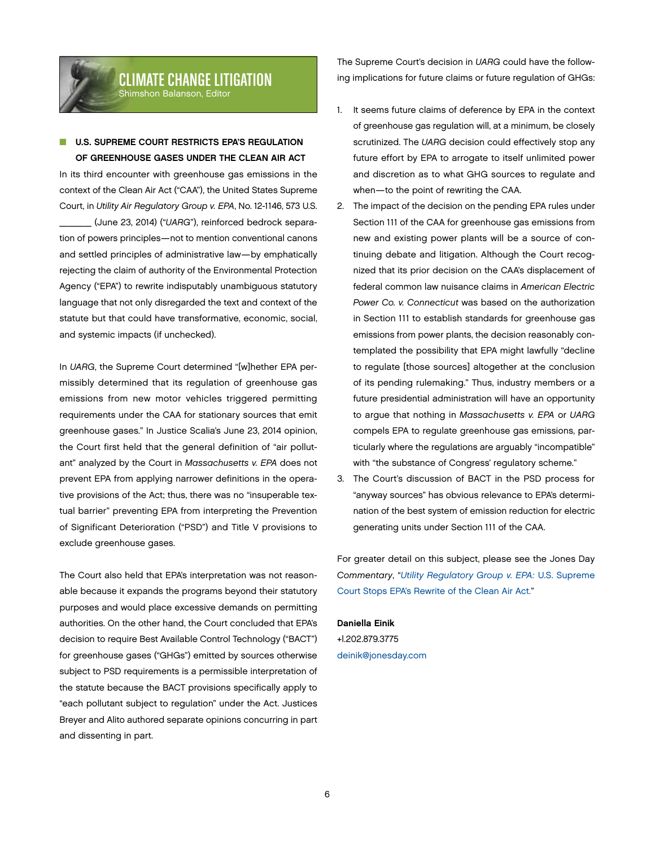<span id="page-5-0"></span>

## **U.S. SUPREME COURT RESTRICTS EPA'S REGULATION** OF GREENHOUSE GASES UNDER THE CLEAN AIR ACT

In its third encounter with greenhouse gas emissions in the context of the Clean Air Act ("CAA"), the United States Supreme Court, in *Utility Air Regulatory Group v. EPA*, No. 12-1146, 573 U.S. \_\_\_\_ (June 23, 2014) ("*UARG*"), reinforced bedrock separation of powers principles—not to mention conventional canons and settled principles of administrative law—by emphatically rejecting the claim of authority of the Environmental Protection Agency ("EPA") to rewrite indisputably unambiguous statutory language that not only disregarded the text and context of the statute but that could have transformative, economic, social, and systemic impacts (if unchecked).

In *UARG*, the Supreme Court determined "[w]hether EPA permissibly determined that its regulation of greenhouse gas emissions from new motor vehicles triggered permitting requirements under the CAA for stationary sources that emit greenhouse gases." In Justice Scalia's June 23, 2014 opinion, the Court first held that the general definition of "air pollutant" analyzed by the Court in *Massachusetts v. EPA* does not prevent EPA from applying narrower definitions in the operative provisions of the Act; thus, there was no "insuperable textual barrier" preventing EPA from interpreting the Prevention of Significant Deterioration ("PSD") and Title V provisions to exclude greenhouse gases.

The Court also held that EPA's interpretation was not reasonable because it expands the programs beyond their statutory purposes and would place excessive demands on permitting authorities. On the other hand, the Court concluded that EPA's decision to require Best Available Control Technology ("BACT") for greenhouse gases ("GHGs") emitted by sources otherwise subject to PSD requirements is a permissible interpretation of the statute because the BACT provisions specifically apply to "each pollutant subject to regulation" under the Act. Justices Breyer and Alito authored separate opinions concurring in part and dissenting in part.

The Supreme Court's decision in *UARG* could have the following implications for future claims or future regulation of GHGs:

- 1. It seems future claims of deference by EPA in the context of greenhouse gas regulation will, at a minimum, be closely scrutinized. The *UARG* decision could effectively stop any future effort by EPA to arrogate to itself unlimited power and discretion as to what GHG sources to regulate and when—to the point of rewriting the CAA.
- 2. The impact of the decision on the pending EPA rules under Section 111 of the CAA for greenhouse gas emissions from new and existing power plants will be a source of continuing debate and litigation. Although the Court recognized that its prior decision on the CAA's displacement of federal common law nuisance claims in *American Electric Power Co. v. Connecticut* was based on the authorization in Section 111 to establish standards for greenhouse gas emissions from power plants, the decision reasonably contemplated the possibility that EPA might lawfully "decline to regulate [those sources] altogether at the conclusion of its pending rulemaking." Thus, industry members or a future presidential administration will have an opportunity to argue that nothing in *Massachusetts v. EPA* or *UARG* compels EPA to regulate greenhouse gas emissions, particularly where the regulations are arguably "incompatible" with "the substance of Congress' regulatory scheme."
- 3. The Court's discussion of BACT in the PSD process for "anyway sources" has obvious relevance to EPA's determination of the best system of emission reduction for electric generating units under Section 111 of the CAA.

For greater detail on this subject, please see the Jones Day *Commentary*, "*[Utility Regulatory Group v. EPA:](http://www.jonesday.com/utility-regulatory-group-v-epa-us-supreme-court-stops-epas-rewrite-of-the-clean-air-act-07-02-2014/)* U.S. Supreme [Court Stops EPA's Rewrite of the Clean Air Act."](http://www.jonesday.com/utility-regulatory-group-v-epa-us-supreme-court-stops-epas-rewrite-of-the-clean-air-act-07-02-2014/)

### Daniella Einik

+l.202.879.3775 [deinik@jonesday.com](mailto:deinik@jonesday.com)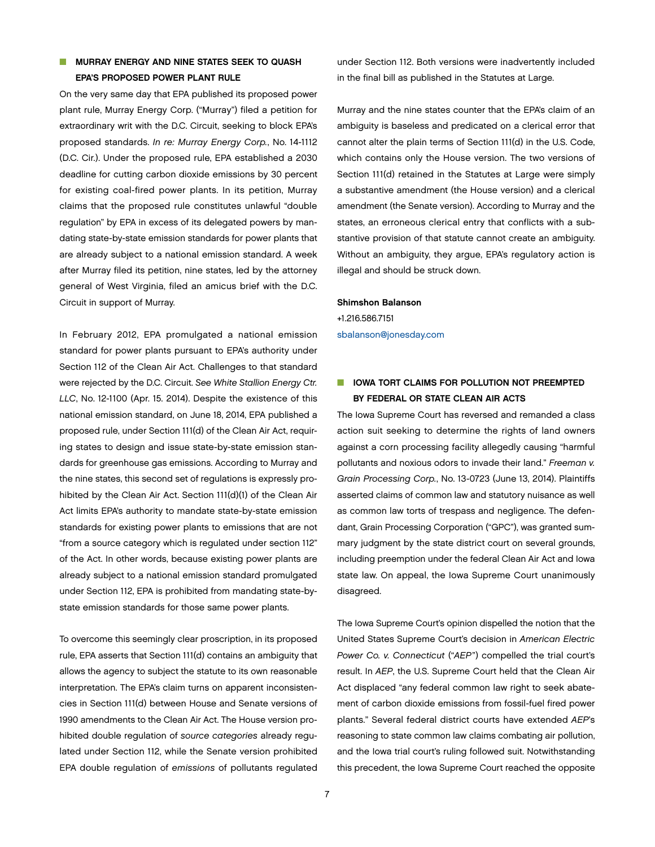## **NURRAY ENERGY AND NINE STATES SEEK TO QUASH** EPA'S PROPOSED POWER PLANT RULE

On the very same day that EPA published its proposed power plant rule, Murray Energy Corp. ("Murray") filed a petition for extraordinary writ with the D.C. Circuit, seeking to block EPA's proposed standards. *In re: Murray Energy Corp.*, No. 14-1112 (D.C. Cir.). Under the proposed rule, EPA established a 2030 deadline for cutting carbon dioxide emissions by 30 percent for existing coal-fired power plants. In its petition, Murray claims that the proposed rule constitutes unlawful "double regulation" by EPA in excess of its delegated powers by mandating state-by-state emission standards for power plants that are already subject to a national emission standard. A week after Murray filed its petition, nine states, led by the attorney general of West Virginia, filed an amicus brief with the D.C. Circuit in support of Murray.

In February 2012, EPA promulgated a national emission standard for power plants pursuant to EPA's authority under Section 112 of the Clean Air Act. Challenges to that standard were rejected by the D.C. Circuit. *See White Stallion Energy Ctr. LLC*, No. 12-1100 (Apr. 15. 2014). Despite the existence of this national emission standard, on June 18, 2014, EPA published a proposed rule, under Section 111(d) of the Clean Air Act, requiring states to design and issue state-by-state emission standards for greenhouse gas emissions. According to Murray and the nine states, this second set of regulations is expressly prohibited by the Clean Air Act. Section 111(d)(1) of the Clean Air Act limits EPA's authority to mandate state-by-state emission standards for existing power plants to emissions that are not "from a source category which is regulated under section 112" of the Act. In other words, because existing power plants are already subject to a national emission standard promulgated under Section 112, EPA is prohibited from mandating state-bystate emission standards for those same power plants.

To overcome this seemingly clear proscription, in its proposed rule, EPA asserts that Section 111(d) contains an ambiguity that allows the agency to subject the statute to its own reasonable interpretation. The EPA's claim turns on apparent inconsistencies in Section 111(d) between House and Senate versions of 1990 amendments to the Clean Air Act. The House version prohibited double regulation of *source categories* already regulated under Section 112, while the Senate version prohibited EPA double regulation of *emissions* of pollutants regulated

under Section 112. Both versions were inadvertently included in the final bill as published in the Statutes at Large.

Murray and the nine states counter that the EPA's claim of an ambiguity is baseless and predicated on a clerical error that cannot alter the plain terms of Section 111(d) in the U.S. Code, which contains only the House version. The two versions of Section 111(d) retained in the Statutes at Large were simply a substantive amendment (the House version) and a clerical amendment (the Senate version). According to Murray and the states, an erroneous clerical entry that conflicts with a substantive provision of that statute cannot create an ambiguity. Without an ambiguity, they argue, EPA's regulatory action is illegal and should be struck down.

### Shimshon Balanson

+1.216.586.7151 [sbalanson@jonesday.com](mailto:sbalanson@jonesday.com)

# **N IOWA TORT CLAIMS FOR POLLUTION NOT PREEMPTED** BY FEDERAL OR STATE CLEAN AIR ACTS

The Iowa Supreme Court has reversed and remanded a class action suit seeking to determine the rights of land owners against a corn processing facility allegedly causing "harmful pollutants and noxious odors to invade their land." *Freeman v. Grain Processing Corp.*, No. 13-0723 (June 13, 2014). Plaintiffs asserted claims of common law and statutory nuisance as well as common law torts of trespass and negligence. The defendant, Grain Processing Corporation ("GPC"), was granted summary judgment by the state district court on several grounds, including preemption under the federal Clean Air Act and Iowa state law. On appeal, the Iowa Supreme Court unanimously disagreed.

The Iowa Supreme Court's opinion dispelled the notion that the United States Supreme Court's decision in *American Electric Power Co. v. Connecticut* ("*AEP*") compelled the trial court's result. In *AEP*, the U.S. Supreme Court held that the Clean Air Act displaced "any federal common law right to seek abatement of carbon dioxide emissions from fossil-fuel fired power plants." Several federal district courts have extended *AEP*'s reasoning to state common law claims combating air pollution, and the Iowa trial court's ruling followed suit. Notwithstanding this precedent, the Iowa Supreme Court reached the opposite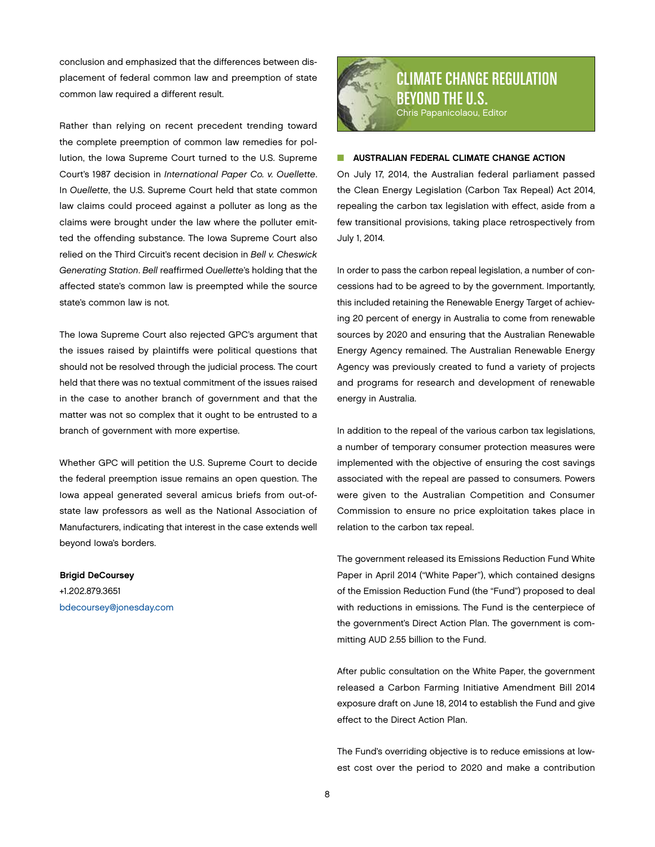<span id="page-7-0"></span>conclusion and emphasized that the differences between displacement of federal common law and preemption of state common law required a different result.

Rather than relying on recent precedent trending toward the complete preemption of common law remedies for pollution, the Iowa Supreme Court turned to the U.S. Supreme Court's 1987 decision in *International Paper Co. v. Ouellette*. In *Ouellette*, the U.S. Supreme Court held that state common law claims could proceed against a polluter as long as the claims were brought under the law where the polluter emitted the offending substance. The Iowa Supreme Court also relied on the Third Circuit's recent decision in *Bell v. Cheswick Generating Station*. *Bell* reaffirmed *Ouellette*'s holding that the affected state's common law is preempted while the source state's common law is not.

The Iowa Supreme Court also rejected GPC's argument that the issues raised by plaintiffs were political questions that should not be resolved through the judicial process. The court held that there was no textual commitment of the issues raised in the case to another branch of government and that the matter was not so complex that it ought to be entrusted to a branch of government with more expertise.

Whether GPC will petition the U.S. Supreme Court to decide the federal preemption issue remains an open question. The Iowa appeal generated several amicus briefs from out-ofstate law professors as well as the National Association of Manufacturers, indicating that interest in the case extends well beyond Iowa's borders.

## Brigid DeCoursey +1.202.879.3651

[bdecoursey@jonesday.com](mailto:bdecoursey@jonesday.com)



## **N AUSTRALIAN FEDERAL CLIMATE CHANGE ACTION**

On July 17, 2014, the Australian federal parliament passed the Clean Energy Legislation (Carbon Tax Repeal) Act 2014, repealing the carbon tax legislation with effect, aside from a few transitional provisions, taking place retrospectively from July 1, 2014.

In order to pass the carbon repeal legislation, a number of concessions had to be agreed to by the government. Importantly, this included retaining the Renewable Energy Target of achieving 20 percent of energy in Australia to come from renewable sources by 2020 and ensuring that the Australian Renewable Energy Agency remained. The Australian Renewable Energy Agency was previously created to fund a variety of projects and programs for research and development of renewable energy in Australia.

In addition to the repeal of the various carbon tax legislations, a number of temporary consumer protection measures were implemented with the objective of ensuring the cost savings associated with the repeal are passed to consumers. Powers were given to the Australian Competition and Consumer Commission to ensure no price exploitation takes place in relation to the carbon tax repeal.

The government released its Emissions Reduction Fund White Paper in April 2014 ("White Paper"), which contained designs of the Emission Reduction Fund (the "Fund") proposed to deal with reductions in emissions. The Fund is the centerpiece of the government's Direct Action Plan. The government is committing AUD 2.55 billion to the Fund.

After public consultation on the White Paper, the government released a Carbon Farming Initiative Amendment Bill 2014 exposure draft on June 18, 2014 to establish the Fund and give effect to the Direct Action Plan.

The Fund's overriding objective is to reduce emissions at lowest cost over the period to 2020 and make a contribution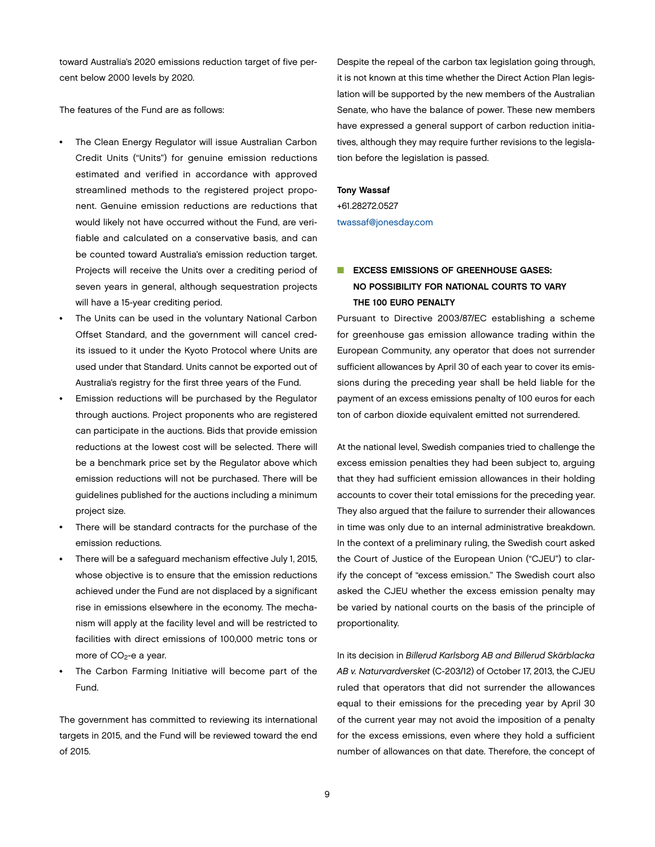toward Australia's 2020 emissions reduction target of five percent below 2000 levels by 2020.

The features of the Fund are as follows:

- The Clean Energy Regulator will issue Australian Carbon Credit Units ("Units") for genuine emission reductions estimated and verified in accordance with approved streamlined methods to the registered project proponent. Genuine emission reductions are reductions that would likely not have occurred without the Fund, are verifiable and calculated on a conservative basis, and can be counted toward Australia's emission reduction target. Projects will receive the Units over a crediting period of seven years in general, although sequestration projects will have a 15-year crediting period.
- The Units can be used in the voluntary National Carbon Offset Standard, and the government will cancel credits issued to it under the Kyoto Protocol where Units are used under that Standard. Units cannot be exported out of Australia's registry for the first three years of the Fund.
- Emission reductions will be purchased by the Regulator through auctions. Project proponents who are registered can participate in the auctions. Bids that provide emission reductions at the lowest cost will be selected. There will be a benchmark price set by the Regulator above which emission reductions will not be purchased. There will be guidelines published for the auctions including a minimum project size.
- There will be standard contracts for the purchase of the emission reductions.
- There will be a safeguard mechanism effective July 1, 2015, whose objective is to ensure that the emission reductions achieved under the Fund are not displaced by a significant rise in emissions elsewhere in the economy. The mechanism will apply at the facility level and will be restricted to facilities with direct emissions of 100,000 metric tons or more of  $CO<sub>2</sub>$ -e a year.
- The Carbon Farming Initiative will become part of the Fund.

The government has committed to reviewing its international targets in 2015, and the Fund will be reviewed toward the end of 2015.

Despite the repeal of the carbon tax legislation going through, it is not known at this time whether the Direct Action Plan legislation will be supported by the new members of the Australian Senate, who have the balance of power. These new members have expressed a general support of carbon reduction initiatives, although they may require further revisions to the legislation before the legislation is passed.

### Tony Wassaf

+61.28272.0527 [twassaf@jonesday.com](mailto:twassaf@jonesday.com)

# **N EXCESS EMISSIONS OF GREENHOUSE GASES:** NO POSSIBILITY FOR NATIONAL COURTS TO VARY THE 100 EURO PENALTY

Pursuant to Directive 2003/87/EC establishing a scheme for greenhouse gas emission allowance trading within the European Community, any operator that does not surrender sufficient allowances by April 30 of each year to cover its emissions during the preceding year shall be held liable for the payment of an excess emissions penalty of 100 euros for each ton of carbon dioxide equivalent emitted not surrendered.

At the national level, Swedish companies tried to challenge the excess emission penalties they had been subject to, arguing that they had sufficient emission allowances in their holding accounts to cover their total emissions for the preceding year. They also argued that the failure to surrender their allowances in time was only due to an internal administrative breakdown. In the context of a preliminary ruling, the Swedish court asked the Court of Justice of the European Union ("CJEU") to clarify the concept of "excess emission." The Swedish court also asked the CJEU whether the excess emission penalty may be varied by national courts on the basis of the principle of proportionality.

In its decision in *Billerud Karlsborg AB and Billerud Skärblacka AB v. Naturvardversket* (C-203/12) of October 17, 2013, the CJEU ruled that operators that did not surrender the allowances equal to their emissions for the preceding year by April 30 of the current year may not avoid the imposition of a penalty for the excess emissions, even where they hold a sufficient number of allowances on that date. Therefore, the concept of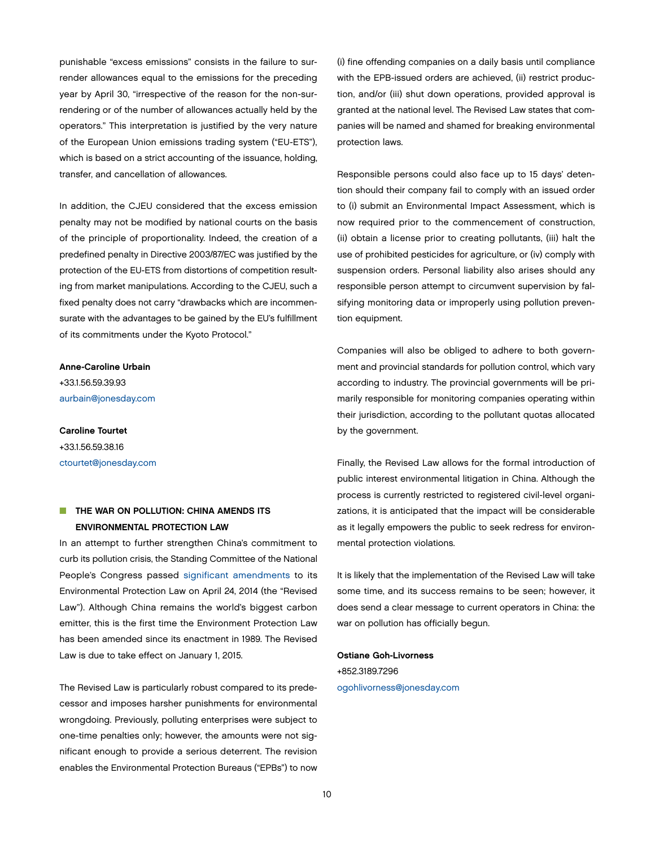punishable "excess emissions" consists in the failure to surrender allowances equal to the emissions for the preceding year by April 30, "irrespective of the reason for the non-surrendering or of the number of allowances actually held by the operators." This interpretation is justified by the very nature of the European Union emissions trading system ("EU-ETS"), which is based on a strict accounting of the issuance, holding, transfer, and cancellation of allowances.

In addition, the CJEU considered that the excess emission penalty may not be modified by national courts on the basis of the principle of proportionality. Indeed, the creation of a predefined penalty in Directive 2003/87/EC was justified by the protection of the EU-ETS from distortions of competition resulting from market manipulations. According to the CJEU, such a fixed penalty does not carry "drawbacks which are incommensurate with the advantages to be gained by the EU's fulfillment of its commitments under the Kyoto Protocol."

Anne-Caroline Urbain +33.1.56.59.39.93 [aurbain@jonesday.com](mailto:aurbain@jonesday.com)

Caroline Tourtet +33.1.56.59.38.16 [ctourtet@jonesday.com](mailto:ctourtet@jonesday.com)

# **N THE WAR ON POLLUTION: CHINA AMENDS ITS** ENVIRONMENTAL PROTECTION LAW

In an attempt to further strengthen China's commitment to curb its pollution crisis, the Standing Committee of the National People's Congress passed [significant amendments](http://zfs.mep.gov.cn/fl/201404/t20140425_271040.htm) to its Environmental Protection Law on April 24, 2014 (the "Revised Law"). Although China remains the world's biggest carbon emitter, this is the first time the Environment Protection Law has been amended since its enactment in 1989. The Revised Law is due to take effect on January 1, 2015.

The Revised Law is particularly robust compared to its predecessor and imposes harsher punishments for environmental wrongdoing. Previously, polluting enterprises were subject to one-time penalties only; however, the amounts were not significant enough to provide a serious deterrent. The revision enables the Environmental Protection Bureaus ("EPBs") to now (i) fine offending companies on a daily basis until compliance with the EPB-issued orders are achieved, (ii) restrict production, and/or (iii) shut down operations, provided approval is granted at the national level. The Revised Law states that companies will be named and shamed for breaking environmental protection laws.

Responsible persons could also face up to 15 days' detention should their company fail to comply with an issued order to (i) submit an Environmental Impact Assessment, which is now required prior to the commencement of construction, (ii) obtain a license prior to creating pollutants, (iii) halt the use of prohibited pesticides for agriculture, or (iv) comply with suspension orders. Personal liability also arises should any responsible person attempt to circumvent supervision by falsifying monitoring data or improperly using pollution prevention equipment.

Companies will also be obliged to adhere to both government and provincial standards for pollution control, which vary according to industry. The provincial governments will be primarily responsible for monitoring companies operating within their jurisdiction, according to the pollutant quotas allocated by the government.

Finally, the Revised Law allows for the formal introduction of public interest environmental litigation in China. Although the process is currently restricted to registered civil-level organizations, it is anticipated that the impact will be considerable as it legally empowers the public to seek redress for environmental protection violations.

It is likely that the implementation of the Revised Law will take some time, and its success remains to be seen; however, it does send a clear message to current operators in China: the war on pollution has officially begun.

## Ostiane Goh-Livorness

+852.3189.7296 [ogohlivorness@jonesday.com](mailto:ogohlivorness@jonesday.com)